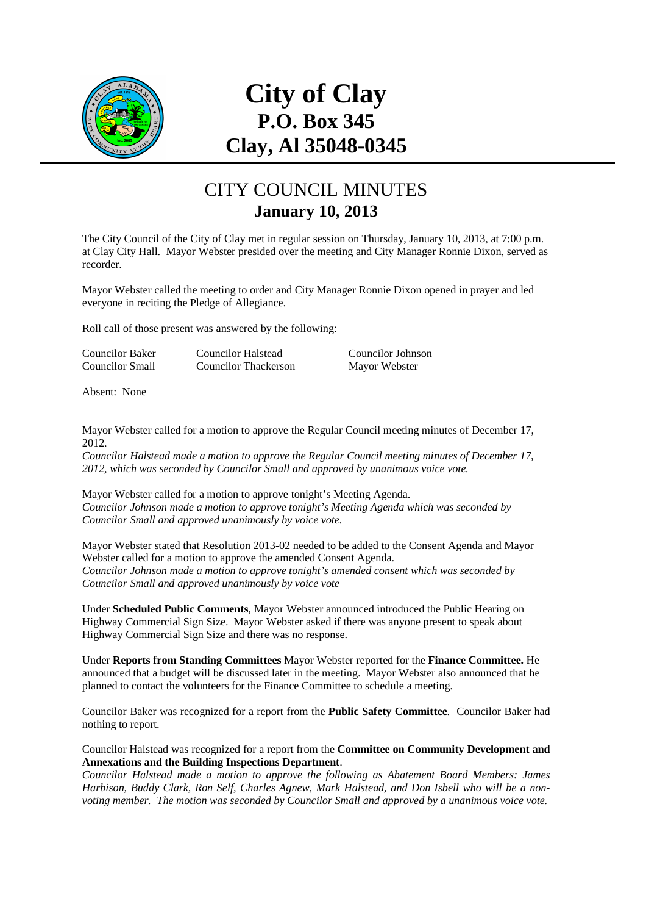

# **City of Clay P.O. Box 345 Clay, Al 35048-0345**

### CITY COUNCIL MINUTES **January 10, 2013**

The City Council of the City of Clay met in regular session on Thursday, January 10, 2013, at 7:00 p.m. at Clay City Hall. Mayor Webster presided over the meeting and City Manager Ronnie Dixon, served as recorder.

Mayor Webster called the meeting to order and City Manager Ronnie Dixon opened in prayer and led everyone in reciting the Pledge of Allegiance.

Roll call of those present was answered by the following:

| Councilor Baker | Councilor Halstead   | Councilor Johnson |
|-----------------|----------------------|-------------------|
| Councilor Small | Councilor Thackerson | Mayor Webster     |

Absent: None

Mayor Webster called for a motion to approve the Regular Council meeting minutes of December 17, 2012.

*Councilor Halstead made a motion to approve the Regular Council meeting minutes of December 17, 2012, which was seconded by Councilor Small and approved by unanimous voice vote.* 

Mayor Webster called for a motion to approve tonight's Meeting Agenda. *Councilor Johnson made a motion to approve tonight's Meeting Agenda which was seconded by Councilor Small and approved unanimously by voice vote.* 

Mayor Webster stated that Resolution 2013-02 needed to be added to the Consent Agenda and Mayor Webster called for a motion to approve the amended Consent Agenda. *Councilor Johnson made a motion to approve tonight's amended consent which was seconded by Councilor Small and approved unanimously by voice vote* 

Under **Scheduled Public Comments**, Mayor Webster announced introduced the Public Hearing on Highway Commercial Sign Size. Mayor Webster asked if there was anyone present to speak about Highway Commercial Sign Size and there was no response.

Under **Reports from Standing Committees** Mayor Webster reported for the **Finance Committee.** He announced that a budget will be discussed later in the meeting. Mayor Webster also announced that he planned to contact the volunteers for the Finance Committee to schedule a meeting.

Councilor Baker was recognized for a report from the **Public Safety Committee**. Councilor Baker had nothing to report.

Councilor Halstead was recognized for a report from the **Committee on Community Development and Annexations and the Building Inspections Department**.

*Councilor Halstead made a motion to approve the following as Abatement Board Members: James Harbison, Buddy Clark, Ron Self, Charles Agnew, Mark Halstead, and Don Isbell who will be a nonvoting member. The motion was seconded by Councilor Small and approved by a unanimous voice vote.*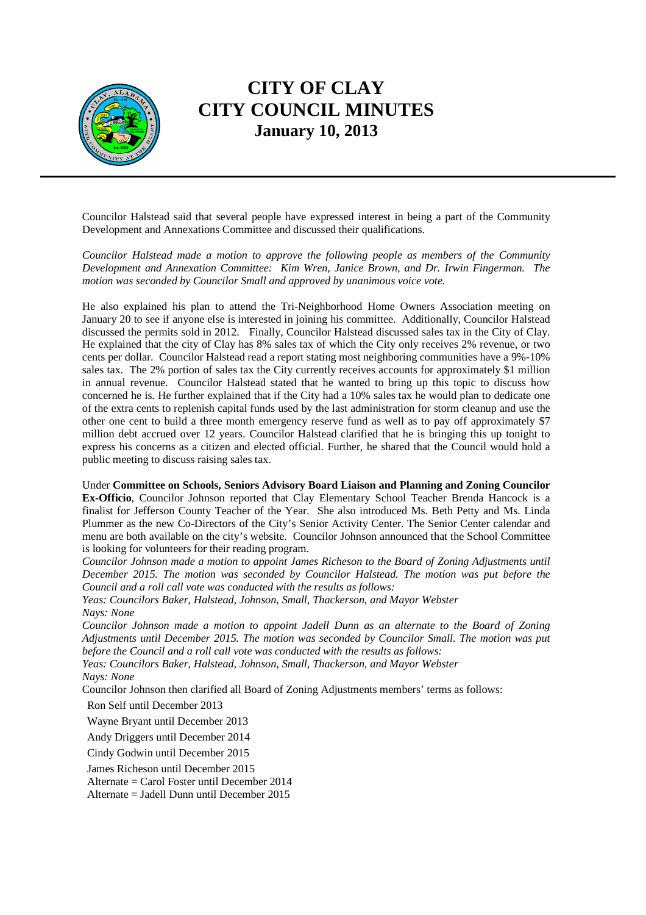

Councilor Halstead said that several people have expressed interest in being a part of the Community Development and Annexations Committee and discussed their qualifications.

*Councilor Halstead made a motion to approve the following people as members of the Community Development and Annexation Committee: Kim Wren, Janice Brown, and Dr. Irwin Fingerman. The motion was seconded by Councilor Small and approved by unanimous voice vote.*

He also explained his plan to attend the Tri-Neighborhood Home Owners Association meeting on January 20 to see if anyone else is interested in joining his committee. Additionally, Councilor Halstead discussed the permits sold in 2012. Finally, Councilor Halstead discussed sales tax in the City of Clay. He explained that the city of Clay has 8% sales tax of which the City only receives 2% revenue, or two cents per dollar. Councilor Halstead read a report stating most neighboring communities have a 9%-10% sales tax. The 2% portion of sales tax the City currently receives accounts for approximately \$1 million in annual revenue. Councilor Halstead stated that he wanted to bring up this topic to discuss how concerned he is. He further explained that if the City had a 10% sales tax he would plan to dedicate one of the extra cents to replenish capital funds used by the last administration for storm cleanup and use the other one cent to build a three month emergency reserve fund as well as to pay off approximately \$7 million debt accrued over 12 years. Councilor Halstead clarified that he is bringing this up tonight to express his concerns as a citizen and elected official. Further, he shared that the Council would hold a public meeting to discuss raising sales tax.

Under **Committee on Schools, Seniors Advisory Board Liaison and Planning and Zoning Councilor Ex-Officio**, Councilor Johnson reported that Clay Elementary School Teacher Brenda Hancock is a finalist for Jefferson County Teacher of the Year. She also introduced Ms. Beth Petty and Ms. Linda Plummer as the new Co-Directors of the City's Senior Activity Center. The Senior Center calendar and menu are both available on the city's website. Councilor Johnson announced that the School Committee is looking for volunteers for their reading program.

*Councilor Johnson made a motion to appoint James Richeson to the Board of Zoning Adjustments until December 2015. The motion was seconded by Councilor Halstead. The motion was put before the Council and a roll call vote was conducted with the results as follows:* 

*Yeas: Councilors Baker, Halstead, Johnson, Small, Thackerson, and Mayor Webster Nays: None* 

*Councilor Johnson made a motion to appoint Jadell Dunn as an alternate to the Board of Zoning Adjustments until December 2015. The motion was seconded by Councilor Small. The motion was put before the Council and a roll call vote was conducted with the results as follows:* 

*Yeas: Councilors Baker, Halstead, Johnson, Small, Thackerson, and Mayor Webster* 

*Nays: None* 

Councilor Johnson then clarified all Board of Zoning Adjustments members' terms as follows:

Ron Self until December 2013

Wayne Bryant until December 2013

Andy Driggers until December 2014

Cindy Godwin until December 2015

James Richeson until December 2015

Alternate = Carol Foster until December 2014

Alternate = Jadell Dunn until December 2015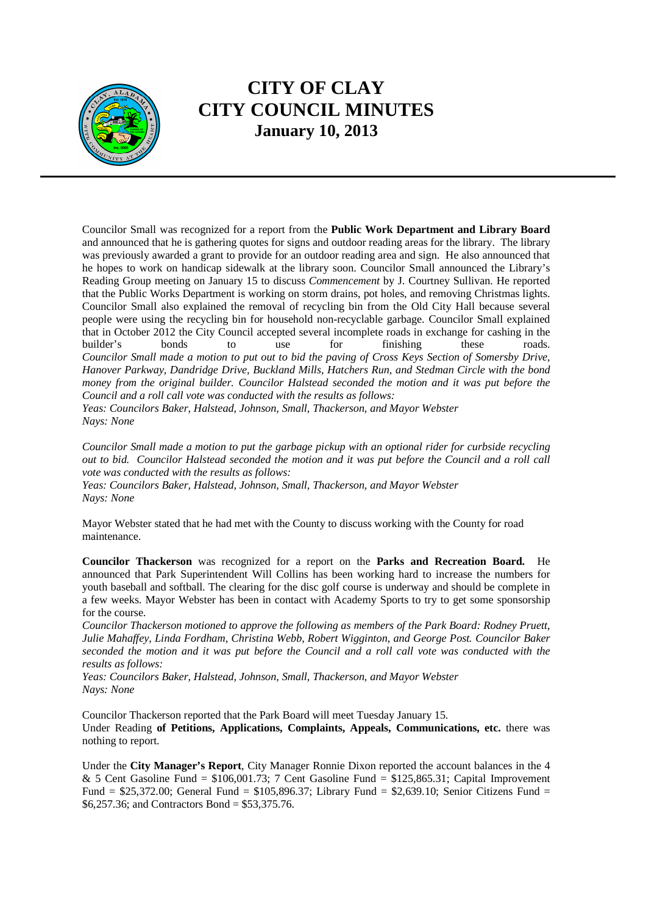

Councilor Small was recognized for a report from the **Public Work Department and Library Board** and announced that he is gathering quotes for signs and outdoor reading areas for the library. The library was previously awarded a grant to provide for an outdoor reading area and sign. He also announced that he hopes to work on handicap sidewalk at the library soon. Councilor Small announced the Library's Reading Group meeting on January 15 to discuss *Commencement* by J. Courtney Sullivan. He reported that the Public Works Department is working on storm drains, pot holes, and removing Christmas lights. Councilor Small also explained the removal of recycling bin from the Old City Hall because several people were using the recycling bin for household non-recyclable garbage. Councilor Small explained that in October 2012 the City Council accepted several incomplete roads in exchange for cashing in the builder's bonds to use for finishing these roads. *Councilor Small made a motion to put out to bid the paving of Cross Keys Section of Somersby Drive, Hanover Parkway, Dandridge Drive, Buckland Mills, Hatchers Run, and Stedman Circle with the bond money from the original builder. Councilor Halstead seconded the motion and it was put before the Council and a roll call vote was conducted with the results as follows:* 

*Yeas: Councilors Baker, Halstead, Johnson, Small, Thackerson, and Mayor Webster Nays: None* 

*Councilor Small made a motion to put the garbage pickup with an optional rider for curbside recycling out to bid. Councilor Halstead seconded the motion and it was put before the Council and a roll call vote was conducted with the results as follows:* 

*Yeas: Councilors Baker, Halstead, Johnson, Small, Thackerson, and Mayor Webster Nays: None* 

Mayor Webster stated that he had met with the County to discuss working with the County for road maintenance.

**Councilor Thackerson** was recognized for a report on the **Parks and Recreation Board.** He announced that Park Superintendent Will Collins has been working hard to increase the numbers for youth baseball and softball. The clearing for the disc golf course is underway and should be complete in a few weeks. Mayor Webster has been in contact with Academy Sports to try to get some sponsorship for the course.

*Councilor Thackerson motioned to approve the following as members of the Park Board: Rodney Pruett, Julie Mahaffey, Linda Fordham, Christina Webb, Robert Wigginton, and George Post. Councilor Baker seconded the motion and it was put before the Council and a roll call vote was conducted with the results as follows:* 

*Yeas: Councilors Baker, Halstead, Johnson, Small, Thackerson, and Mayor Webster Nays: None* 

Councilor Thackerson reported that the Park Board will meet Tuesday January 15. Under Reading **of Petitions, Applications, Complaints, Appeals, Communications, etc.** there was nothing to report.

Under the **City Manager's Report**, City Manager Ronnie Dixon reported the account balances in the 4 & 5 Cent Gasoline Fund =  $$106,001.73$ ; 7 Cent Gasoline Fund =  $$125,865.31$ ; Capital Improvement Fund = \$25,372.00; General Fund = \$105,896.37; Library Fund = \$2,639.10; Senior Citizens Fund = \$6,257.36; and Contractors Bond = \$53,375.76.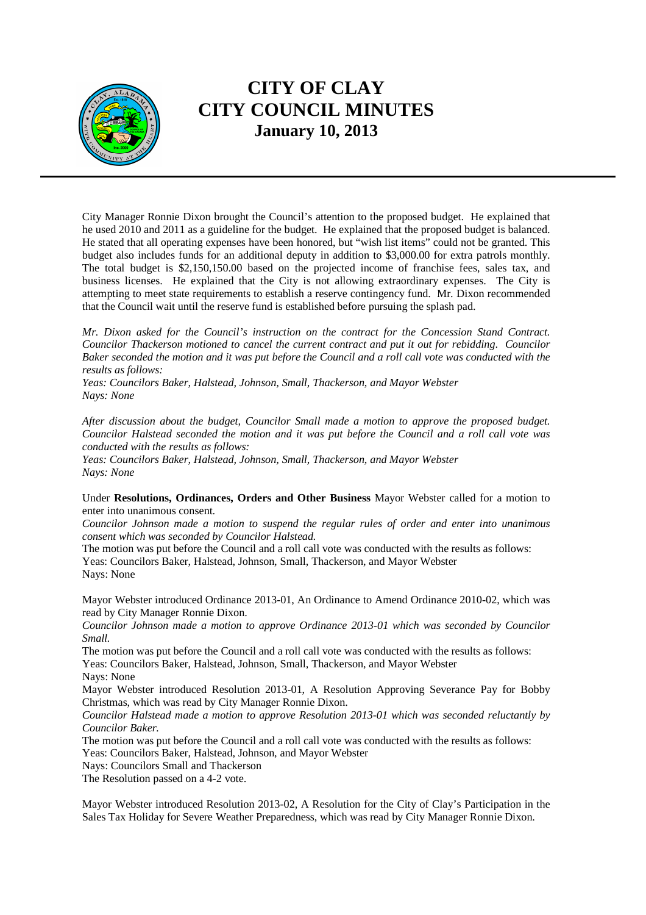

City Manager Ronnie Dixon brought the Council's attention to the proposed budget. He explained that he used 2010 and 2011 as a guideline for the budget. He explained that the proposed budget is balanced. He stated that all operating expenses have been honored, but "wish list items" could not be granted. This budget also includes funds for an additional deputy in addition to \$3,000.00 for extra patrols monthly. The total budget is \$2,150,150.00 based on the projected income of franchise fees, sales tax, and business licenses. He explained that the City is not allowing extraordinary expenses. The City is attempting to meet state requirements to establish a reserve contingency fund. Mr. Dixon recommended that the Council wait until the reserve fund is established before pursuing the splash pad.

*Mr. Dixon asked for the Council's instruction on the contract for the Concession Stand Contract. Councilor Thackerson motioned to cancel the current contract and put it out for rebidding*. *Councilor Baker seconded the motion and it was put before the Council and a roll call vote was conducted with the results as follows:* 

*Yeas: Councilors Baker, Halstead, Johnson, Small, Thackerson, and Mayor Webster Nays: None* 

*After discussion about the budget, Councilor Small made a motion to approve the proposed budget. Councilor Halstead seconded the motion and it was put before the Council and a roll call vote was conducted with the results as follows:* 

*Yeas: Councilors Baker, Halstead, Johnson, Small, Thackerson, and Mayor Webster Nays: None* 

Under **Resolutions, Ordinances, Orders and Other Business** Mayor Webster called for a motion to enter into unanimous consent.

*Councilor Johnson made a motion to suspend the regular rules of order and enter into unanimous consent which was seconded by Councilor Halstead.* 

The motion was put before the Council and a roll call vote was conducted with the results as follows: Yeas: Councilors Baker, Halstead, Johnson, Small, Thackerson, and Mayor Webster Nays: None

Mayor Webster introduced Ordinance 2013-01, An Ordinance to Amend Ordinance 2010-02, which was read by City Manager Ronnie Dixon.

*Councilor Johnson made a motion to approve Ordinance 2013-01 which was seconded by Councilor Small.* 

The motion was put before the Council and a roll call vote was conducted with the results as follows: Yeas: Councilors Baker, Halstead, Johnson, Small, Thackerson, and Mayor Webster

Nays: None

Mayor Webster introduced Resolution 2013-01, A Resolution Approving Severance Pay for Bobby Christmas, which was read by City Manager Ronnie Dixon.

*Councilor Halstead made a motion to approve Resolution 2013-01 which was seconded reluctantly by Councilor Baker.* 

The motion was put before the Council and a roll call vote was conducted with the results as follows: Yeas: Councilors Baker, Halstead, Johnson, and Mayor Webster

Nays: Councilors Small and Thackerson

The Resolution passed on a 4-2 vote.

Mayor Webster introduced Resolution 2013-02, A Resolution for the City of Clay's Participation in the Sales Tax Holiday for Severe Weather Preparedness, which was read by City Manager Ronnie Dixon.